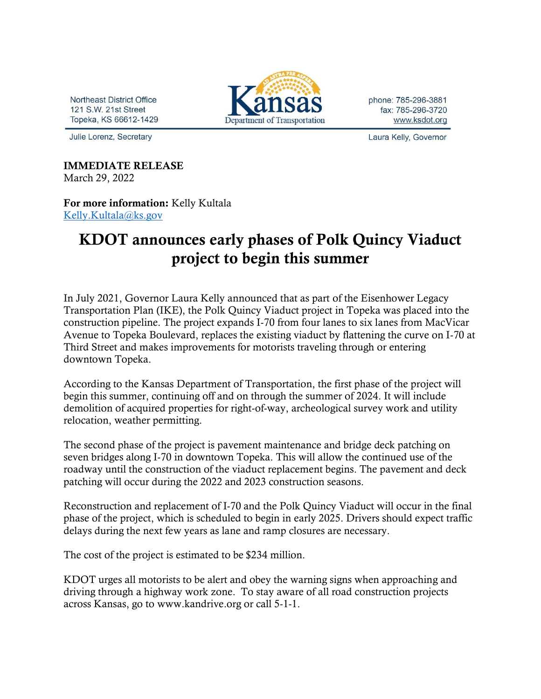Northeast District Office 121 S.W. 21st Street Topeka, KS 66612-1429

Julie Lorenz, Secretary

## Department of Transportation

phone: 785-296-3881 fax: 785-296-3720 www.ksdot.org

Laura Kelly, Governor

IMMEDIATE RELEASE March 29, 2022

For more information: Kelly Kultala [Kelly.Kultala@ks.gov](mailto:Kelly.Kultala@ks.gov)

## KDOT announces early phases of Polk Quincy Viaduct project to begin this summer

In July 2021, Governor Laura Kelly announced that as part of the Eisenhower Legacy Transportation Plan (IKE), the Polk Quincy Viaduct project in Topeka was placed into the construction pipeline. The project expands I-70 from four lanes to six lanes from MacVicar Avenue to Topeka Boulevard, replaces the existing viaduct by flattening the curve on I-70 at Third Street and makes improvements for motorists traveling through or entering downtown Topeka.

According to the Kansas Department of Transportation, the first phase of the project will begin this summer, continuing off and on through the summer of 2024. It will include demolition of acquired properties for right-of-way, archeological survey work and utility relocation, weather permitting.

The second phase of the project is pavement maintenance and bridge deck patching on seven bridges along I-70 in downtown Topeka. This will allow the continued use of the roadway until the construction of the viaduct replacement begins. The pavement and deck patching will occur during the 2022 and 2023 construction seasons.

Reconstruction and replacement of I-70 and the Polk Quincy Viaduct will occur in the final phase of the project, which is scheduled to begin in early 2025. Drivers should expect traffic delays during the next few years as lane and ramp closures are necessary.

The cost of the project is estimated to be \$234 million.

KDOT urges all motorists to be alert and obey the warning signs when approaching and driving through a highway work zone. To stay aware of all road construction projects across Kansas, go to www.kandrive.org or call 5-1-1.